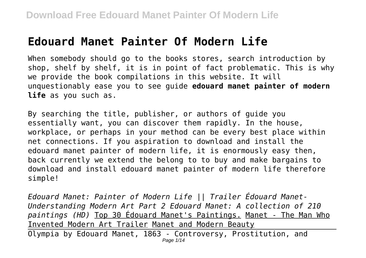# **Edouard Manet Painter Of Modern Life**

When somebody should go to the books stores, search introduction by shop, shelf by shelf, it is in point of fact problematic. This is why we provide the book compilations in this website. It will unquestionably ease you to see guide **edouard manet painter of modern life** as you such as.

By searching the title, publisher, or authors of guide you essentially want, you can discover them rapidly. In the house, workplace, or perhaps in your method can be every best place within net connections. If you aspiration to download and install the edouard manet painter of modern life, it is enormously easy then, back currently we extend the belong to to buy and make bargains to download and install edouard manet painter of modern life therefore simple!

*Edouard Manet: Painter of Modern Life || Trailer Édouard Manet-Understanding Modern Art Part 2 Edouard Manet: A collection of 210 paintings (HD)* Top 30 Édouard Manet's Paintings. Manet - The Man Who Invented Modern Art Trailer Manet and Modern Beauty

Olympia by Edouard Manet, 1863 - Controversy, Prostitution, and Page 1/14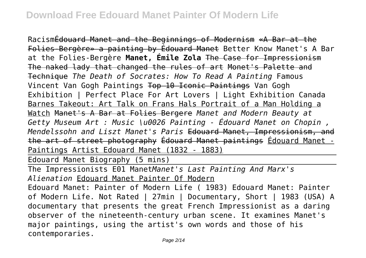RacismÉdouard Manet and the Beginnings of Modernism «A Bar at the Folies-Bergère» a painting by Édouard Manet Better Know Manet's A Bar at the Folies-Bergère **Manet, Émile Zola** The Case for Impressionism The naked lady that changed the rules of art Monet's Palette and Technique *The Death of Socrates: How To Read A Painting* Famous Vincent Van Gogh Paintings Top 10 Iconic Paintings Van Gogh Exhibition | Perfect Place For Art Lovers | Light Exhibition Canada Barnes Takeout: Art Talk on Frans Hals Portrait of a Man Holding a Watch Manet's A Bar at Folies Bergere *Manet and Modern Beauty at Getty Museum Art : Music \u0026 Painting - Édouard Manet on Chopin , Mendelssohn and Liszt Manet's Paris* Edouard Manet, Impressionism, and the art of street photography Édouard Manet paintings Édouard Manet - Paintings Artist Edouard Manet (1832 - 1883)

Edouard Manet Biography (5 mins)

The Impressionists E01 Manet*Manet's Last Painting And Marx's Alienation* Edouard Manet Painter Of Modern

Edouard Manet: Painter of Modern Life ( 1983) Edouard Manet: Painter of Modern Life. Not Rated | 27min | Documentary, Short | 1983 (USA) A documentary that presents the great French Impressionist as a daring observer of the nineteenth-century urban scene. It examines Manet's major paintings, using the artist's own words and those of his contemporaries.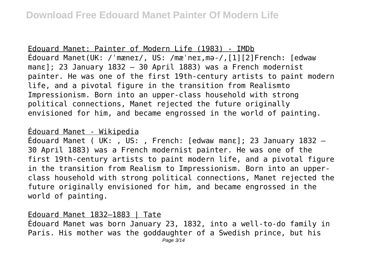#### Edouard Manet: Painter of Modern Life (1983) - IMDb

Édouard Manet(UK: /ˈmæneɪ/, US: /mæˈneɪ,mə-/,[1][2]French: [edwaʁ manɛ]; 23 January 1832 – 30 April 1883) was a French modernist painter. He was one of the first 19th-century artists to paint modern life, and a pivotal figure in the transition from Realismto Impressionism. Born into an upper-class household with strong political connections, Manet rejected the future originally envisioned for him, and became engrossed in the world of painting.

### Édouard Manet - Wikipedia

Édouard Manet ( UK: , US: , French: [edwaʁ manɛ]; 23 January 1832 – 30 April 1883) was a French modernist painter. He was one of the first 19th-century artists to paint modern life, and a pivotal figure in the transition from Realism to Impressionism. Born into an upperclass household with strong political connections, Manet rejected the future originally envisioned for him, and became engrossed in the world of painting.

#### Edouard Manet 1832–1883 | Tate

Édouard Manet was born January 23, 1832, into a well-to-do family in Paris. His mother was the goddaughter of a Swedish prince, but his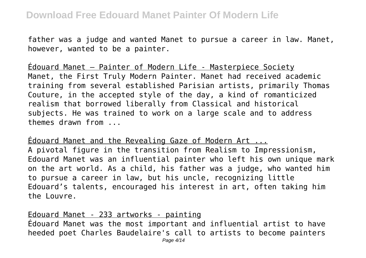father was a judge and wanted Manet to pursue a career in law. Manet, however, wanted to be a painter.

Édouard Manet – Painter of Modern Life - Masterpiece Society Manet, the First Truly Modern Painter. Manet had received academic training from several established Parisian artists, primarily Thomas Couture, in the accepted style of the day, a kind of romanticized realism that borrowed liberally from Classical and historical subjects. He was trained to work on a large scale and to address themes drawn from ...

Édouard Manet and the Revealing Gaze of Modern Art ... A pivotal figure in the transition from Realism to Impressionism, Edouard Manet was an influential painter who left his own unique mark on the art world. As a child, his father was a judge, who wanted him to pursue a career in law, but his uncle, recognizing little Edouard's talents, encouraged his interest in art, often taking him the Louvre.

Edouard Manet - 233 artworks - painting Édouard Manet was the most important and influential artist to have heeded poet Charles Baudelaire's call to artists to become painters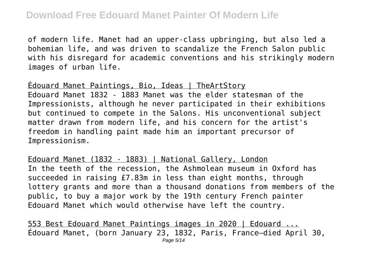of modern life. Manet had an upper-class upbringing, but also led a bohemian life, and was driven to scandalize the French Salon public with his disregard for academic conventions and his strikingly modern images of urban life.

Édouard Manet Paintings, Bio, Ideas | TheArtStory Edouard Manet 1832 - 1883 Manet was the elder statesman of the Impressionists, although he never participated in their exhibitions but continued to compete in the Salons. His unconventional subject matter drawn from modern life, and his concern for the artist's freedom in handling paint made him an important precursor of Impressionism.

Edouard Manet (1832 - 1883) | National Gallery, London In the teeth of the recession, the Ashmolean museum in Oxford has succeeded in raising £7.83m in less than eight months, through lottery grants and more than a thousand donations from members of the public, to buy a major work by the 19th century French painter Edouard Manet which would otherwise have left the country.

553 Best Edouard Manet Paintings images in 2020 | Edouard ... Édouard Manet, (born January 23, 1832, Paris, France—died April 30, Page 5/14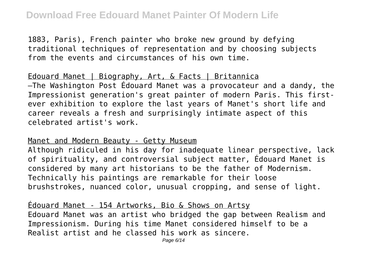1883, Paris), French painter who broke new ground by defying traditional techniques of representation and by choosing subjects from the events and circumstances of his own time.

Edouard Manet | Biography, Art, & Facts | Britannica —The Washington Post Édouard Manet was a provocateur and a dandy, the Impressionist generation's great painter of modern Paris. This firstever exhibition to explore the last years of Manet's short life and career reveals a fresh and surprisingly intimate aspect of this celebrated artist's work.

Manet and Modern Beauty - Getty Museum

Although ridiculed in his day for inadequate linear perspective, lack of spirituality, and controversial subject matter, Édouard Manet is considered by many art historians to be the father of Modernism. Technically his paintings are remarkable for their loose brushstrokes, nuanced color, unusual cropping, and sense of light.

Edouard Manet - 154 Artworks, Bio & Shows on Artsy Edouard Manet was an artist who bridged the gap between Realism and Impressionism. During his time Manet considered himself to be a Realist artist and he classed his work as sincere.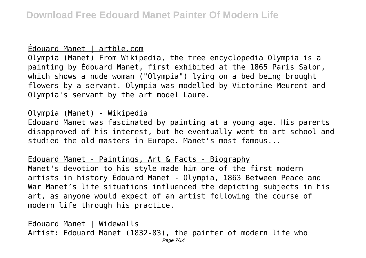#### Édouard Manet | artble.com

Olympia (Manet) From Wikipedia, the free encyclopedia Olympia is a painting by Édouard Manet, first exhibited at the 1865 Paris Salon, which shows a nude woman ("Olympia") lying on a bed being brought flowers by a servant. Olympia was modelled by Victorine Meurent and Olympia's servant by the art model Laure.

## Olympia (Manet) - Wikipedia

Edouard Manet was fascinated by painting at a young age. His parents disapproved of his interest, but he eventually went to art school and studied the old masters in Europe. Manet's most famous...

Edouard Manet - Paintings, Art & Facts - Biography Manet's devotion to his style made him one of the first modern artists in history Édouard Manet - Olympia, 1863 Between Peace and War Manet's life situations influenced the depicting subjects in his art, as anyone would expect of an artist following the course of modern life through his practice.

Edouard Manet | Widewalls Artist: Edouard Manet (1832-83), the painter of modern life who Page 7/14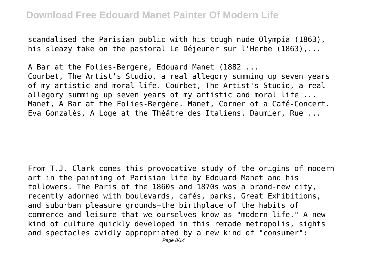scandalised the Parisian public with his tough nude Olympia (1863), his sleazy take on the pastoral Le Déjeuner sur l'Herbe (1863),...

A Bar at the Folies-Bergere, Edouard Manet (1882 ... Courbet, The Artist's Studio, a real allegory summing up seven years of my artistic and moral life. Courbet, The Artist's Studio, a real allegory summing up seven years of my artistic and moral life ... Manet, A Bar at the Folies-Bergère. Manet, Corner of a Café-Concert. Eva Gonzalès, A Loge at the Théâtre des Italiens. Daumier, Rue ...

From T.J. Clark comes this provocative study of the origins of modern art in the painting of Parisian life by Edouard Manet and his followers. The Paris of the 1860s and 1870s was a brand-new city, recently adorned with boulevards, cafés, parks, Great Exhibitions, and suburban pleasure grounds—the birthplace of the habits of commerce and leisure that we ourselves know as "modern life." A new kind of culture quickly developed in this remade metropolis, sights and spectacles avidly appropriated by a new kind of "consumer":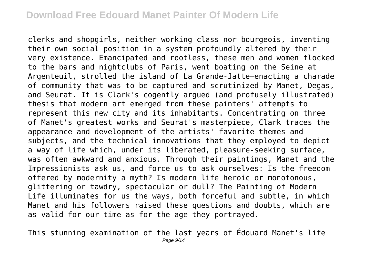clerks and shopgirls, neither working class nor bourgeois, inventing their own social position in a system profoundly altered by their very existence. Emancipated and rootless, these men and women flocked to the bars and nightclubs of Paris, went boating on the Seine at Argenteuil, strolled the island of La Grande-Jatte—enacting a charade of community that was to be captured and scrutinized by Manet, Degas, and Seurat. It is Clark's cogently argued (and profusely illustrated) thesis that modern art emerged from these painters' attempts to represent this new city and its inhabitants. Concentrating on three of Manet's greatest works and Seurat's masterpiece, Clark traces the appearance and development of the artists' favorite themes and subjects, and the technical innovations that they employed to depict a way of life which, under its liberated, pleasure-seeking surface, was often awkward and anxious. Through their paintings, Manet and the Impressionists ask us, and force us to ask ourselves: Is the freedom offered by modernity a myth? Is modern life heroic or monotonous, glittering or tawdry, spectacular or dull? The Painting of Modern Life illuminates for us the ways, both forceful and subtle, in which Manet and his followers raised these questions and doubts, which are as valid for our time as for the age they portrayed.

This stunning examination of the last years of Édouard Manet's life Page 9/14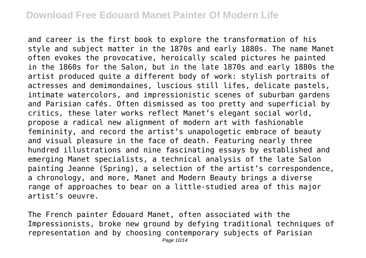and career is the first book to explore the transformation of his style and subject matter in the 1870s and early 1880s. The name Manet often evokes the provocative, heroically scaled pictures he painted in the 1860s for the Salon, but in the late 1870s and early 1880s the artist produced quite a different body of work: stylish portraits of actresses and demimondaines, luscious still lifes, delicate pastels, intimate watercolors, and impressionistic scenes of suburban gardens and Parisian cafés. Often dismissed as too pretty and superficial by critics, these later works reflect Manet's elegant social world, propose a radical new alignment of modern art with fashionable femininity, and record the artist's unapologetic embrace of beauty and visual pleasure in the face of death. Featuring nearly three hundred illustrations and nine fascinating essays by established and emerging Manet specialists, a technical analysis of the late Salon painting Jeanne (Spring), a selection of the artist's correspondence, a chronology, and more, Manet and Modern Beauty brings a diverse range of approaches to bear on a little-studied area of this major artist's oeuvre.

The French painter Édouard Manet, often associated with the Impressionists, broke new ground by defying traditional techniques of representation and by choosing contemporary subjects of Parisian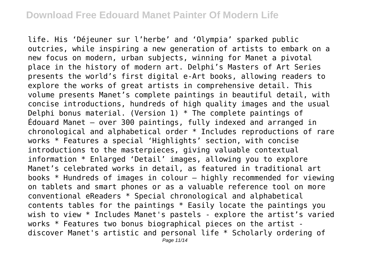life. His 'Déjeuner sur l'herbe' and 'Olympia' sparked public outcries, while inspiring a new generation of artists to embark on a new focus on modern, urban subjects, winning for Manet a pivotal place in the history of modern art. Delphi's Masters of Art Series presents the world's first digital e-Art books, allowing readers to explore the works of great artists in comprehensive detail. This volume presents Manet's complete paintings in beautiful detail, with concise introductions, hundreds of high quality images and the usual Delphi bonus material. (Version 1)  $*$  The complete paintings of Édouard Manet — over 300 paintings, fully indexed and arranged in chronological and alphabetical order \* Includes reproductions of rare works \* Features a special 'Highlights' section, with concise introductions to the masterpieces, giving valuable contextual information \* Enlarged 'Detail' images, allowing you to explore Manet's celebrated works in detail, as featured in traditional art books \* Hundreds of images in colour – highly recommended for viewing on tablets and smart phones or as a valuable reference tool on more conventional eReaders \* Special chronological and alphabetical contents tables for the paintings \* Easily locate the paintings you wish to view \* Includes Manet's pastels - explore the artist's varied works \* Features two bonus biographical pieces on the artist discover Manet's artistic and personal life \* Scholarly ordering of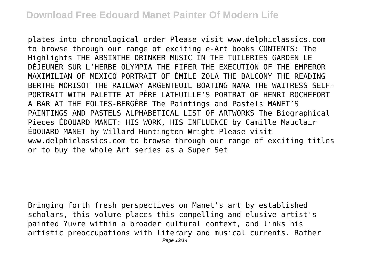plates into chronological order Please visit www.delphiclassics.com to browse through our range of exciting e-Art books CONTENTS: The Highlights THE ABSINTHE DRINKER MUSIC IN THE TUILERIES GARDEN LE DÉJEUNER SUR L'HERBE OLYMPIA THE FIFER THE EXECUTION OF THE EMPEROR MAXIMILIAN OF MEXICO PORTRAIT OF ÉMILE ZOLA THE BALCONY THE READING BERTHE MORISOT THE RAILWAY ARGENTEUIL BOATING NANA THE WAITRESS SELF-PORTRAIT WITH PALETTE AT PÈRE LATHUILLE'S PORTRAT OF HENRI ROCHEFORT A BAR AT THE FOLIES-BERGÈRE The Paintings and Pastels MANET'S PAINTINGS AND PASTELS ALPHABETICAL LIST OF ARTWORKS The Biographical Pieces ÉDOUARD MANET: HIS WORK, HIS INFLUENCE by Camille Mauclair ÉDOUARD MANET by Willard Huntington Wright Please visit www.delphiclassics.com to browse through our range of exciting titles or to buy the whole Art series as a Super Set

Bringing forth fresh perspectives on Manet's art by established scholars, this volume places this compelling and elusive artist's painted ?uvre within a broader cultural context, and links his artistic preoccupations with literary and musical currents. Rather Page 12/14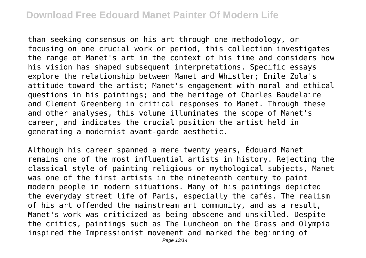# **Download Free Edouard Manet Painter Of Modern Life**

than seeking consensus on his art through one methodology, or focusing on one crucial work or period, this collection investigates the range of Manet's art in the context of his time and considers how his vision has shaped subsequent interpretations. Specific essays explore the relationship between Manet and Whistler; Emile Zola's attitude toward the artist; Manet's engagement with moral and ethical questions in his paintings; and the heritage of Charles Baudelaire and Clement Greenberg in critical responses to Manet. Through these and other analyses, this volume illuminates the scope of Manet's career, and indicates the crucial position the artist held in generating a modernist avant-garde aesthetic.

Although his career spanned a mere twenty years, Édouard Manet remains one of the most influential artists in history. Rejecting the classical style of painting religious or mythological subjects, Manet was one of the first artists in the nineteenth century to paint modern people in modern situations. Many of his paintings depicted the everyday street life of Paris, especially the cafés. The realism of his art offended the mainstream art community, and as a result, Manet's work was criticized as being obscene and unskilled. Despite the critics, paintings such as The Luncheon on the Grass and Olympia inspired the Impressionist movement and marked the beginning of